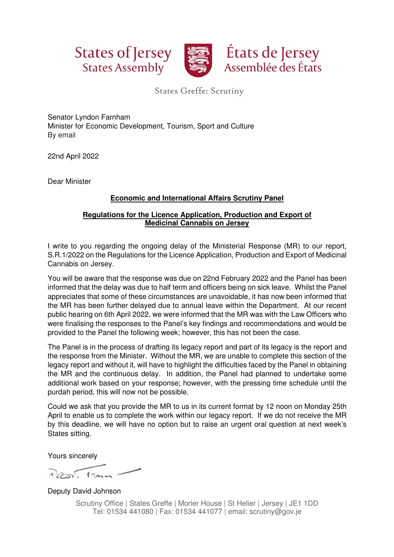



States Greffe: Scrutiny

Senator Lyndon Farnham Minister for Economic Development, Tourism, Sport and Culture By email

22nd April 2022

Dear Minister

## **Economic and International Affairs Scrutiny Panel**

## **Regulations for the Licence Application, Production and Export of Medicinal Cannabis on Jersey**

I write to you regarding the ongoing delay of the Ministerial Response (MR) to our report, S.R.1/2022 on the Regulations for the Licence Application, Production and Export of Medicinal Cannabis on Jersey.

You will be aware that the response was due on 22nd February 2022 and the Panel has been informed that the delay was due to half term and officers being on sick leave. Whilst the Panel appreciates that some of these circumstances are unavoidable, it has now been informed that the MR has been further delayed due to annual leave within the Department. At our recent public hearing on 6th April 2022, we were informed that the MR was with the Law Officers who were finalising the responses to the Panel's key findings and recommendations and would be provided to the Panel the following week; however, this has not been the case.

The Panel is in the process of drafting its legacy report and part of its legacy is the report and the response from the Minister. Without the MR, we are unable to complete this section of the legacy report and without it, will have to highlight the difficulties faced by the Panel in obtaining the MR and the continuous delay. In addition, the Panel had planned to undertake some additional work based on your response; however, with the pressing time schedule until the purdah period, this will now not be possible.

Could we ask that you provide the MR to us in its current format by 12 noon on Monday 25th April to enable us to complete the work within our legacy report. If we do not receive the MR by this deadline, we will have no option but to raise an urgent oral question at next week's States sitting.

Yours sincerely

 $2055.154-$ 

Deputy David Johnson

Scrutiny Office | States Greffe | Morier House | St Helier | Jersey | JE1 1DD Tel: 01534 441080 | Fax: 01534 441077 | email: scrutiny@gov.je